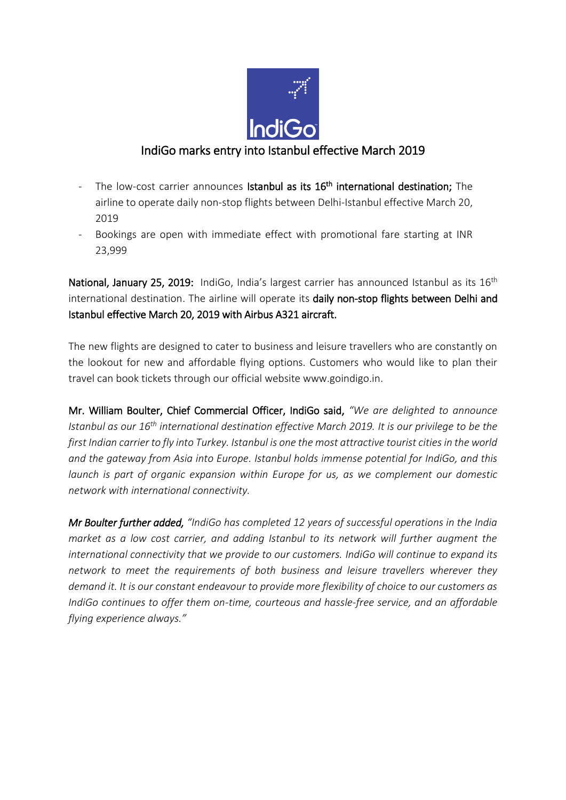

## IndiGo marks entry into Istanbul effective March 2019

- The low-cost carrier announces Istanbul as its 16<sup>th</sup> international destination; The airline to operate daily non-stop flights between Delhi-Istanbul effective March 20, 2019
- Bookings are open with immediate effect with promotional fare starting at INR 23,999

National, January 25, 2019: IndiGo, India's largest carrier has announced Istanbul as its 16<sup>th</sup> international destination. The airline will operate its daily non-stop flights between Delhi and Istanbul effective March 20, 2019 with Airbus A321 aircraft.

The new flights are designed to cater to business and leisure travellers who are constantly on the lookout for new and affordable flying options. Customers who would like to plan their travel can book tickets through our official website www.goindigo.in.

Mr. William Boulter, Chief Commercial Officer, IndiGo said, *"We are delighted to announce Istanbul as our 16th international destination effective March 2019. It is our privilege to be the first Indian carrier to fly into Turkey. Istanbul is one the most attractive tourist cities in the world and the gateway from Asia into Europe. Istanbul holds immense potential for IndiGo, and this launch is part of organic expansion within Europe for us, as we complement our domestic network with international connectivity.*

*Mr Boulter further added, "IndiGo has completed 12 years of successful operations in the India market as a low cost carrier, and adding Istanbul to its network will further augment the international connectivity that we provide to our customers. IndiGo will continue to expand its network to meet the requirements of both business and leisure travellers wherever they demand it. It is our constant endeavour to provide more flexibility of choice to our customers as IndiGo continues to offer them on-time, courteous and hassle-free service, and an affordable flying experience always."*